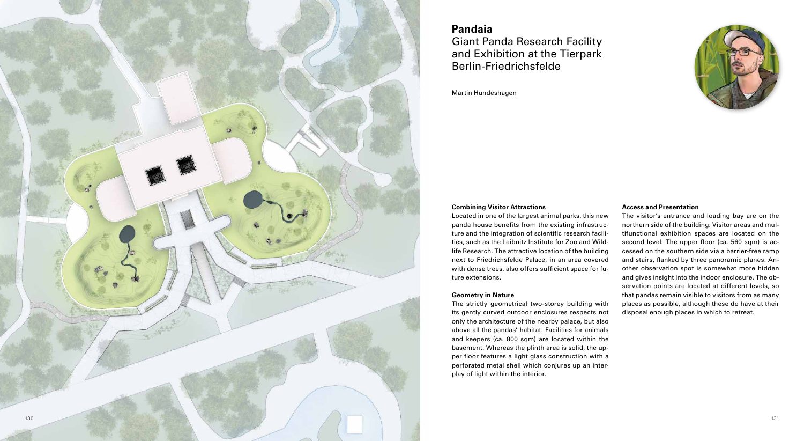## **Combining Visitor Attractions**

only the architecture of the nearby palace, but also above all the pandas' habitat. Facilities for animals and keepers (ca. 800 sqm) are located within the basement. Whereas the plinth area is solid, the upper floor features a light glass construction with a perforated metal shell which conjures up an interplay of light within the interior.



Located in one of the largest animal parks, this new panda house benefits from the existing infrastructure and the integration of scientific research facilities, such as the Leibnitz Institute for Zoo and Wildlife Research. The attractive location of the building next to Friedrichsfelde Palace, in an area covered with dense trees, also offers sufficient space for future extensions. **Geometry in Nature** The strictly geometrical two-storey building with its gently curved outdoor enclosures respects not The visitor's entrance and loading bay are on the northern side of the building. Visitor areas and multifunctional exhibition spaces are located on the second level. The upper floor (ca. 560 sqm) is accessed on the southern side via a barrier-free ramp and stairs, flanked by three panoramic planes. Another observation spot is somewhat more hidden and gives insight into the indoor enclosure. The observation points are located at different levels, so that pandas remain visible to visitors from as many places as possible, although these do have at their disposal enough places in which to retreat.

## **Access and Presentation**

## **Pandaia**

Giant Panda Research Facility and Exhibition at the Tierpark Berlin-Friedrichsfelde

Martin Hundeshagen

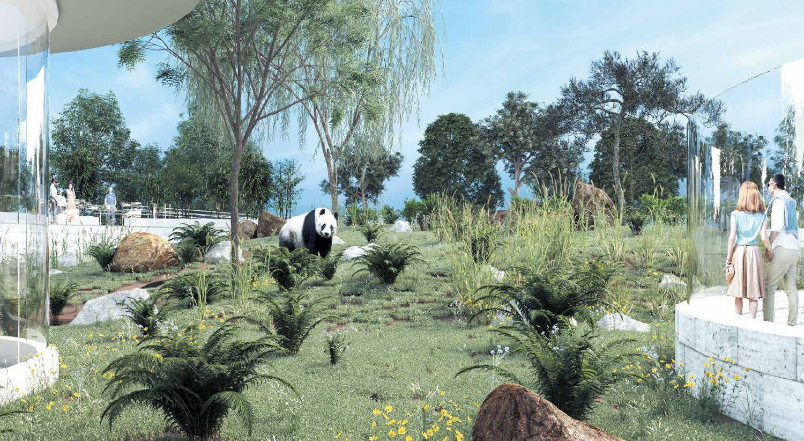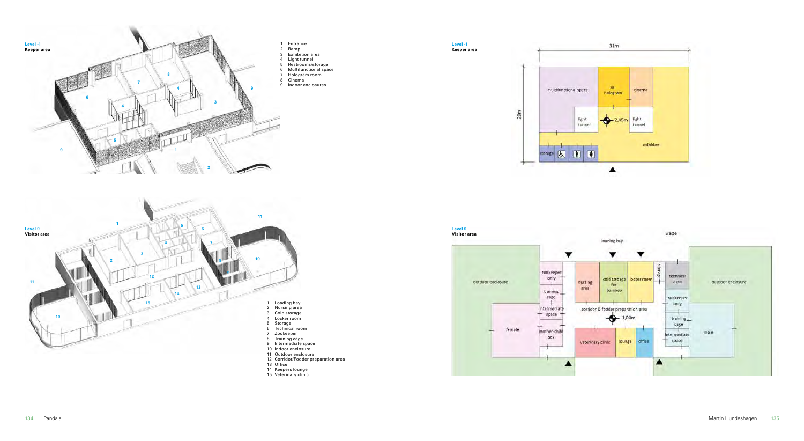









- Indoor enclosure
- Outdoor enclosure Corridor/Fodder preparation area 13 Office
- 
- 
- Keepers lounge 15 Veterinary clinic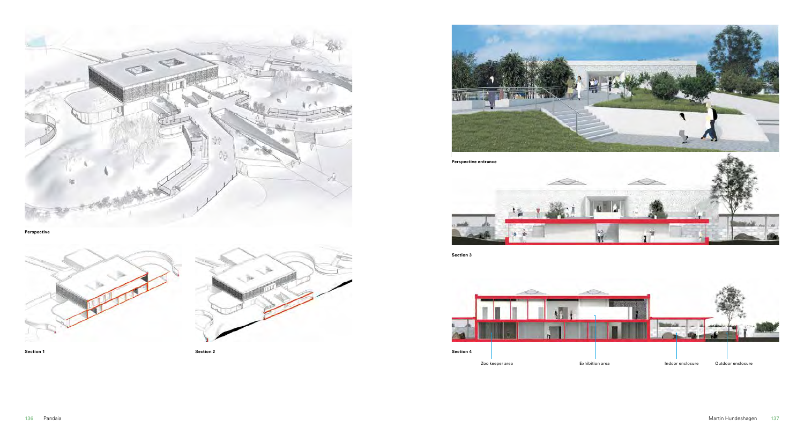